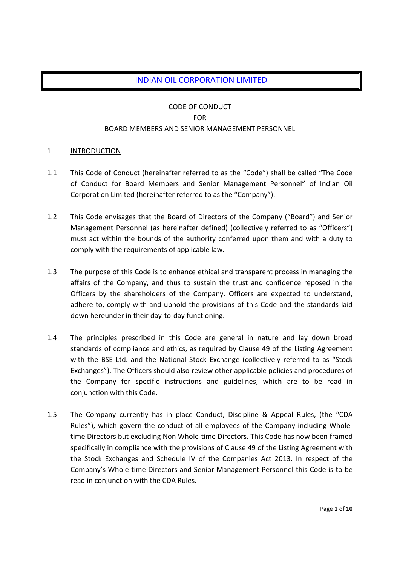## INDIAN OIL CORPORATION LIMITED

## CODE OF CONDUCT FOR BOARD MEMBERS AND SENIOR MANAGEMENT PERSONNEL

### 1. INTRODUCTION

- 1.1 This Code of Conduct (hereinafter referred to as the "Code") shall be called "The Code of Conduct for Board Members and Senior Management Personnel" of Indian Oil Corporation Limited (hereinafter referred to as the "Company").
- 1.2 This Code envisages that the Board of Directors of the Company ("Board") and Senior Management Personnel (as hereinafter defined) (collectively referred to as "Officers") must act within the bounds of the authority conferred upon them and with a duty to comply with the requirements of applicable law.
- 1.3 The purpose of this Code is to enhance ethical and transparent process in managing the affairs of the Company, and thus to sustain the trust and confidence reposed in the Officers by the shareholders of the Company. Officers are expected to understand, adhere to, comply with and uphold the provisions of this Code and the standards laid down hereunder in their day‐to‐day functioning.
- 1.4 The principles prescribed in this Code are general in nature and lay down broad standards of compliance and ethics, as required by Clause 49 of the Listing Agreement with the BSE Ltd. and the National Stock Exchange (collectively referred to as "Stock Exchanges"). The Officers should also review other applicable policies and procedures of the Company for specific instructions and guidelines, which are to be read in conjunction with this Code.
- 1.5 The Company currently has in place Conduct, Discipline & Appeal Rules, (the "CDA Rules"), which govern the conduct of all employees of the Company including Whole‐ time Directors but excluding Non Whole‐time Directors. This Code has now been framed specifically in compliance with the provisions of Clause 49 of the Listing Agreement with the Stock Exchanges and Schedule IV of the Companies Act 2013. In respect of the Company's Whole‐time Directors and Senior Management Personnel this Code is to be read in conjunction with the CDA Rules.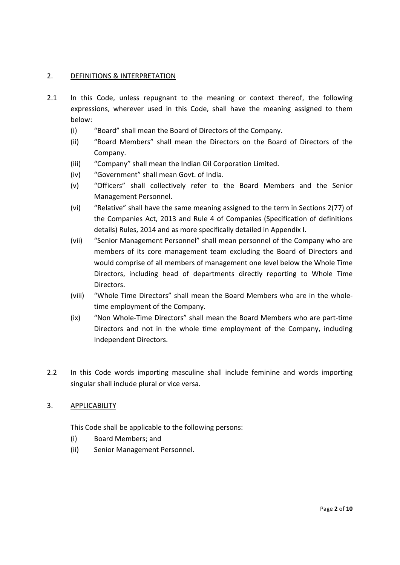## 2. DEFINITIONS & INTERPRETATION

- 2.1 In this Code, unless repugnant to the meaning or context thereof, the following expressions, wherever used in this Code, shall have the meaning assigned to them below:
	- (i) "Board" shall mean the Board of Directors of the Company.
	- (ii) "Board Members" shall mean the Directors on the Board of Directors of the Company.
	- (iii) "Company" shall mean the Indian Oil Corporation Limited.
	- (iv) "Government" shall mean Govt. of India.
	- (v) "Officers" shall collectively refer to the Board Members and the Senior Management Personnel.
	- (vi) "Relative" shall have the same meaning assigned to the term in Sections 2(77) of the Companies Act, 2013 and Rule 4 of Companies (Specification of definitions details) Rules, 2014 and as more specifically detailed in Appendix I.
	- (vii) "Senior Management Personnel" shall mean personnel of the Company who are members of its core management team excluding the Board of Directors and would comprise of all members of management one level below the Whole Time Directors, including head of departments directly reporting to Whole Time Directors.
	- (viii) "Whole Time Directors" shall mean the Board Members who are in the whole‐ time employment of the Company.
	- (ix) "Non Whole‐Time Directors" shall mean the Board Members who are part‐time Directors and not in the whole time employment of the Company, including Independent Directors.
- 2.2 In this Code words importing masculine shall include feminine and words importing singular shall include plural or vice versa.

### 3. APPLICABILITY

This Code shall be applicable to the following persons:

- (i) Board Members; and
- (ii) Senior Management Personnel.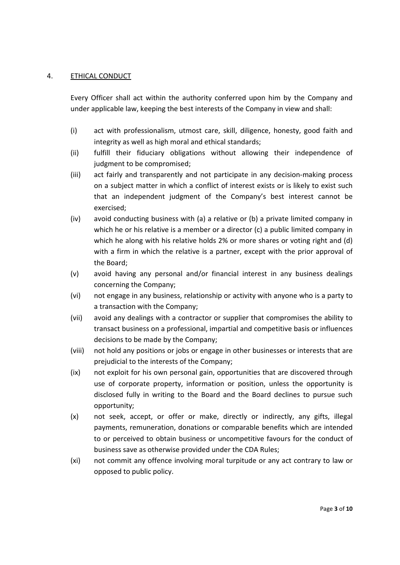### 4. ETHICAL CONDUCT

Every Officer shall act within the authority conferred upon him by the Company and under applicable law, keeping the best interests of the Company in view and shall:

- (i) act with professionalism, utmost care, skill, diligence, honesty, good faith and integrity as well as high moral and ethical standards;
- (ii) fulfill their fiduciary obligations without allowing their independence of judgment to be compromised;
- (iii) act fairly and transparently and not participate in any decision‐making process on a subject matter in which a conflict of interest exists or is likely to exist such that an independent judgment of the Company's best interest cannot be exercised;
- (iv) avoid conducting business with (a) a relative or (b) a private limited company in which he or his relative is a member or a director (c) a public limited company in which he along with his relative holds 2% or more shares or voting right and (d) with a firm in which the relative is a partner, except with the prior approval of the Board;
- (v) avoid having any personal and/or financial interest in any business dealings concerning the Company;
- (vi) not engage in any business, relationship or activity with anyone who is a party to a transaction with the Company;
- (vii) avoid any dealings with a contractor or supplier that compromises the ability to transact business on a professional, impartial and competitive basis or influences decisions to be made by the Company;
- (viii) not hold any positions or jobs or engage in other businesses or interests that are prejudicial to the interests of the Company;
- (ix) not exploit for his own personal gain, opportunities that are discovered through use of corporate property, information or position, unless the opportunity is disclosed fully in writing to the Board and the Board declines to pursue such opportunity;
- (x) not seek, accept, or offer or make, directly or indirectly, any gifts, illegal payments, remuneration, donations or comparable benefits which are intended to or perceived to obtain business or uncompetitive favours for the conduct of business save as otherwise provided under the CDA Rules;
- (xi) not commit any offence involving moral turpitude or any act contrary to law or opposed to public policy.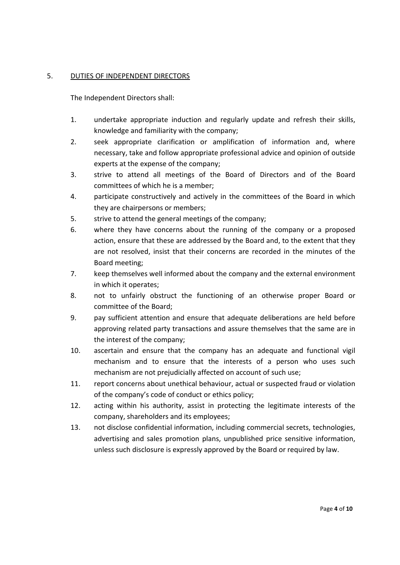## 5. DUTIES OF INDEPENDENT DIRECTORS

The Independent Directors shall:

- 1. undertake appropriate induction and regularly update and refresh their skills, knowledge and familiarity with the company;
- 2. seek appropriate clarification or amplification of information and, where necessary, take and follow appropriate professional advice and opinion of outside experts at the expense of the company;
- 3. strive to attend all meetings of the Board of Directors and of the Board committees of which he is a member;
- 4. participate constructively and actively in the committees of the Board in which they are chairpersons or members;
- 5. strive to attend the general meetings of the company;
- 6. where they have concerns about the running of the company or a proposed action, ensure that these are addressed by the Board and, to the extent that they are not resolved, insist that their concerns are recorded in the minutes of the Board meeting;
- 7. keep themselves well informed about the company and the external environment in which it operates;
- 8. not to unfairly obstruct the functioning of an otherwise proper Board or committee of the Board;
- 9. pay sufficient attention and ensure that adequate deliberations are held before approving related party transactions and assure themselves that the same are in the interest of the company;
- 10. ascertain and ensure that the company has an adequate and functional vigil mechanism and to ensure that the interests of a person who uses such mechanism are not prejudicially affected on account of such use;
- 11. report concerns about unethical behaviour, actual or suspected fraud or violation of the company's code of conduct or ethics policy;
- 12. acting within his authority, assist in protecting the legitimate interests of the company, shareholders and its employees;
- 13. not disclose confidential information, including commercial secrets, technologies, advertising and sales promotion plans, unpublished price sensitive information, unless such disclosure is expressly approved by the Board or required by law.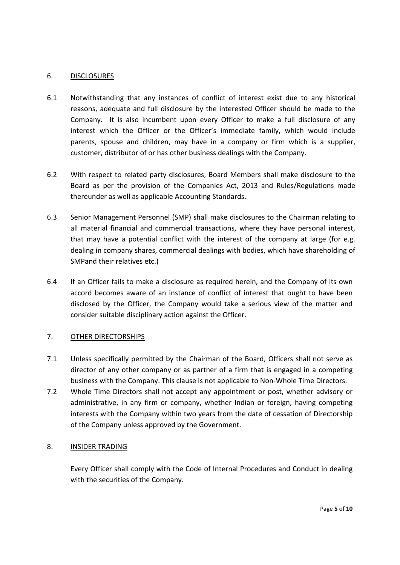### 6. DISCLOSURES

- 6.1 Notwithstanding that any instances of conflict of interest exist due to any historical reasons, adequate and full disclosure by the interested Officer should be made to the Company. It is also incumbent upon every Officer to make a full disclosure of any interest which the Officer or the Officer's immediate family, which would include parents, spouse and children, may have in a company or firm which is a supplier, customer, distributor of or has other business dealings with the Company.
- 6.2 With respect to related party disclosures, Board Members shall make disclosure to the Board as per the provision of the Companies Act, 2013 and Rules/Regulations made thereunder as well as applicable Accounting Standards.
- 6.3 Senior Management Personnel (SMP) shall make disclosures to the Chairman relating to all material financial and commercial transactions, where they have personal interest, that may have a potential conflict with the interest of the company at large (for e.g. dealing in company shares, commercial dealings with bodies, which have shareholding of SMPand their relatives etc.)
- 6.4 If an Officer fails to make a disclosure as required herein, and the Company of its own accord becomes aware of an instance of conflict of interest that ought to have been disclosed by the Officer, the Company would take a serious view of the matter and consider suitable disciplinary action against the Officer.

## 7. OTHER DIRECTORSHIPS

- 7.1 Unless specifically permitted by the Chairman of the Board, Officers shall not serve as director of any other company or as partner of a firm that is engaged in a competing business with the Company. This clause is not applicable to Non‐Whole Time Directors.
- 7.2 Whole Time Directors shall not accept any appointment or post, whether advisory or administrative, in any firm or company, whether Indian or foreign, having competing interests with the Company within two years from the date of cessation of Directorship of the Company unless approved by the Government.

### 8. INSIDER TRADING

Every Officer shall comply with the Code of Internal Procedures and Conduct in dealing with the securities of the Company.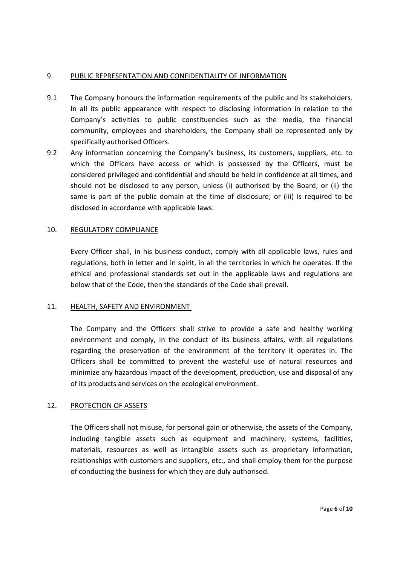## 9. PUBLIC REPRESENTATION AND CONFIDENTIALITY OF INFORMATION

- 9.1 The Company honours the information requirements of the public and its stakeholders. In all its public appearance with respect to disclosing information in relation to the Company's activities to public constituencies such as the media, the financial community, employees and shareholders, the Company shall be represented only by specifically authorised Officers.
- 9.2 Any information concerning the Company's business, its customers, suppliers, etc. to which the Officers have access or which is possessed by the Officers, must be considered privileged and confidential and should be held in confidence at all times, and should not be disclosed to any person, unless (i) authorised by the Board; or (ii) the same is part of the public domain at the time of disclosure; or (iii) is required to be disclosed in accordance with applicable laws.

## 10. REGULATORY COMPLIANCE

Every Officer shall, in his business conduct, comply with all applicable laws, rules and regulations, both in letter and in spirit, in all the territories in which he operates. If the ethical and professional standards set out in the applicable laws and regulations are below that of the Code, then the standards of the Code shall prevail.

### 11. HEALTH, SAFETY AND ENVIRONMENT

The Company and the Officers shall strive to provide a safe and healthy working environment and comply, in the conduct of its business affairs, with all regulations regarding the preservation of the environment of the territory it operates in. The Officers shall be committed to prevent the wasteful use of natural resources and minimize any hazardous impact of the development, production, use and disposal of any of its products and services on the ecological environment.

## 12. PROTECTION OF ASSETS

The Officers shall not misuse, for personal gain or otherwise, the assets of the Company, including tangible assets such as equipment and machinery, systems, facilities, materials, resources as well as intangible assets such as proprietary information, relationships with customers and suppliers, etc., and shall employ them for the purpose of conducting the business for which they are duly authorised.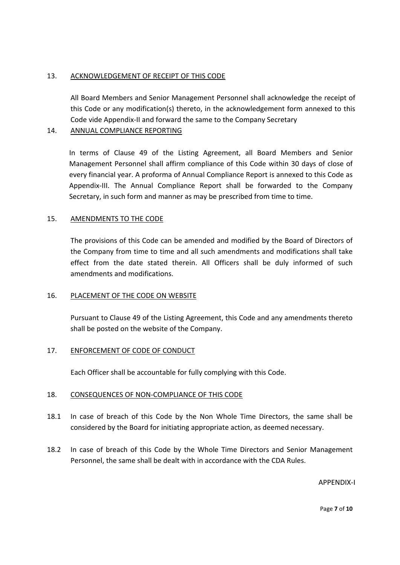## 13. ACKNOWLEDGEMENT OF RECEIPT OF THIS CODE

All Board Members and Senior Management Personnel shall acknowledge the receipt of this Code or any modification(s) thereto, in the acknowledgement form annexed to this Code vide Appendix‐II and forward the same to the Company Secretary

## 14. ANNUAL COMPLIANCE REPORTING

In terms of Clause 49 of the Listing Agreement, all Board Members and Senior Management Personnel shall affirm compliance of this Code within 30 days of close of every financial year. A proforma of Annual Compliance Report is annexed to this Code as Appendix‐III. The Annual Compliance Report shall be forwarded to the Company Secretary, in such form and manner as may be prescribed from time to time.

## 15. AMENDMENTS TO THE CODE

The provisions of this Code can be amended and modified by the Board of Directors of the Company from time to time and all such amendments and modifications shall take effect from the date stated therein. All Officers shall be duly informed of such amendments and modifications.

### 16. PLACEMENT OF THE CODE ON WEBSITE

Pursuant to Clause 49 of the Listing Agreement, this Code and any amendments thereto shall be posted on the website of the Company.

### 17. ENFORCEMENT OF CODE OF CONDUCT

Each Officer shall be accountable for fully complying with this Code.

### 18. CONSEQUENCES OF NON‐COMPLIANCE OF THIS CODE

- 18.1 In case of breach of this Code by the Non Whole Time Directors, the same shall be considered by the Board for initiating appropriate action, as deemed necessary.
- 18.2 In case of breach of this Code by the Whole Time Directors and Senior Management Personnel, the same shall be dealt with in accordance with the CDA Rules.

APPENDIX‐I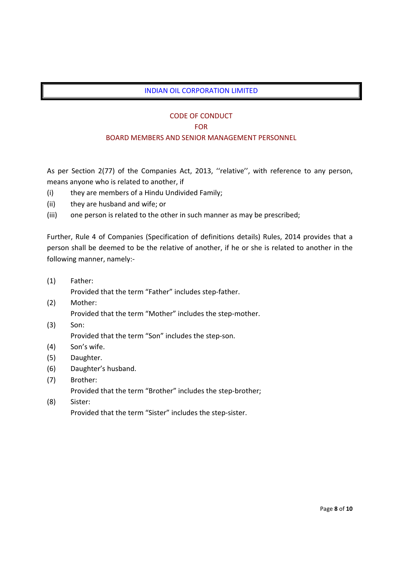## INDIAN OIL CORPORATION LIMITED

## CODE OF CONDUCT

#### FOR

## BOARD MEMBERS AND SENIOR MANAGEMENT PERSONNEL

As per Section 2(77) of the Companies Act, 2013, ''relative'', with reference to any person, means anyone who is related to another, if

- (i) they are members of a Hindu Undivided Family;
- (ii) they are husband and wife; or
- (iii) one person is related to the other in such manner as may be prescribed;

Further, Rule 4 of Companies (Specification of definitions details) Rules, 2014 provides that a person shall be deemed to be the relative of another, if he or she is related to another in the following manner, namely:‐

(1) Father:

Provided that the term "Father" includes step‐father.

- (2) Mother:
	- Provided that the term "Mother" includes the step‐mother.
- (3) Son:

Provided that the term "Son" includes the step‐son.

- (4) Son's wife.
- (5) Daughter.
- (6) Daughter's husband.
- (7) Brother:
- Provided that the term "Brother" includes the step‐brother; (8) Sister:
	- Provided that the term "Sister" includes the step‐sister.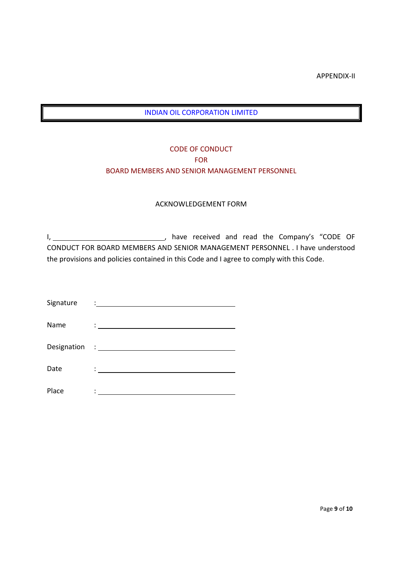APPENDIX‐II

## INDIAN OIL CORPORATION LIMITED

# CODE OF CONDUCT FOR BOARD MEMBERS AND SENIOR MANAGEMENT PERSONNEL

### ACKNOWLEDGEMENT FORM

I, \_\_\_\_\_\_\_\_\_\_\_\_\_\_\_\_\_\_\_\_\_\_\_\_\_\_\_\_\_\_\_\_\_, have received and read the Company's "CODE OF CONDUCT FOR BOARD MEMBERS AND SENIOR MANAGEMENT PERSONNEL . I have understood the provisions and policies contained in this Code and I agree to comply with this Code.

| Signature | $\ddot{\phantom{a}}$ . The contract of $\ddot{\phantom{a}}$        |
|-----------|--------------------------------------------------------------------|
| Name      | $\ddot{\cdot}$ . The contract of the contract of $\ddot{\cdot}$    |
|           |                                                                    |
| Date      | $\mathcal{L}_{\text{max}}$ . The set of $\mathcal{L}_{\text{max}}$ |
| Place     |                                                                    |